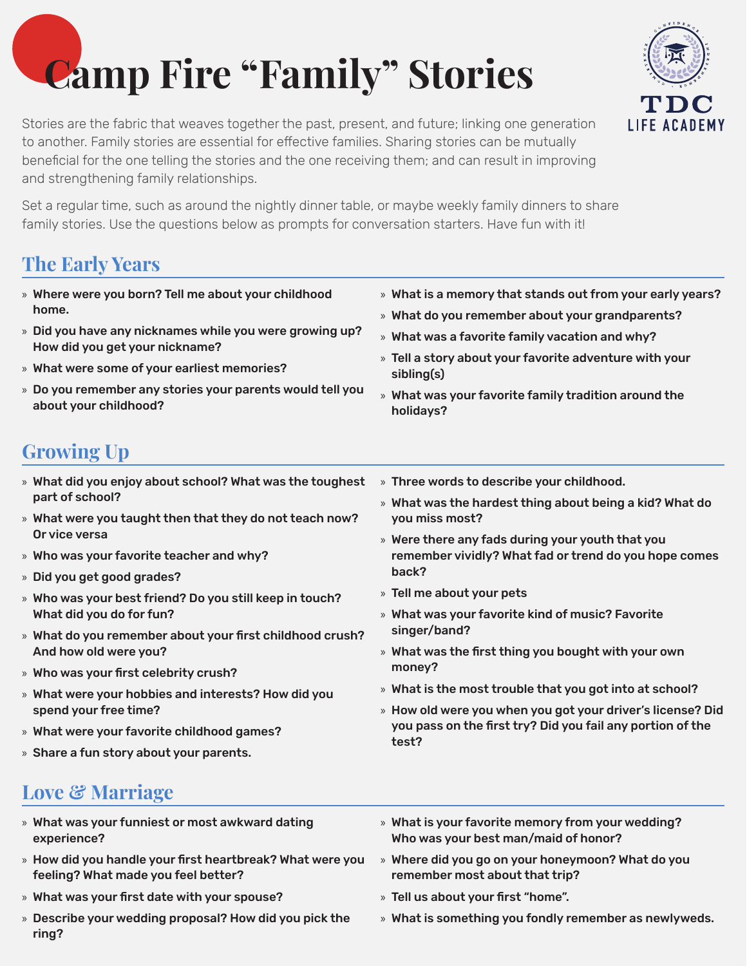# **Camp Fire "Family" Stories**



Stories are the fabric that weaves together the past, present, and future; linking one generation to another. Family stories are essential for effective families. Sharing stories can be mutually beneficial for the one telling the stories and the one receiving them; and can result in improving and strengthening family relationships.

Set a regular time, such as around the nightly dinner table, or maybe weekly family dinners to share family stories. Use the questions below as prompts for conversation starters. Have fun with it!

# **The Early Years**

- » Where were you born? Tell me about your childhood home. » Did you have any nicknames while you were growing up? How did you get your nickname? » What were some of your earliest memories? » Do you remember any stories your parents would tell you about your childhood? » What is a memory that stands out from your early years? » What do you remember about your grandparents? » What was a favorite family vacation and why? » Tell a story about your favorite adventure with your sibling(s) » What was your favorite family tradition around the holidays? **Growing Up** » What did you enjoy about school? What was the toughest part of school? » What were you taught then that they do not teach now? Or vice versa » Who was your favorite teacher and why? » Did you get good grades? » Who was your best friend? Do you still keep in touch? What did you do for fun? » What do you remember about your first childhood crush? And how old were you? » Who was your first celebrity crush? » Three words to describe your childhood. » What was the hardest thing about being a kid? What do you miss most? » Were there any fads during your youth that you remember vividly? What fad or trend do you hope comes back? » Tell me about your pets » What was your favorite kind of music? Favorite singer/band? » What was the first thing you bought with your own money?
- » What were your hobbies and interests? How did you spend your free time?
- » What were your favorite childhood games?
- » Share a fun story about your parents.
- » What is the most trouble that you got into at school?
- » How old were you when you got your driver's license? Did you pass on the first try? Did you fail any portion of the test?

# **Love & Marriage**

- » What was your funniest or most awkward dating experience?
- » How did you handle your first heartbreak? What were you feeling? What made you feel better?
- » What was your first date with your spouse?
- » Describe your wedding proposal? How did you pick the ring?
- » What is your favorite memory from your wedding? Who was your best man/maid of honor?
- » Where did you go on your honeymoon? What do you remember most about that trip?
- » Tell us about your first "home".
- » What is something you fondly remember as newlyweds.